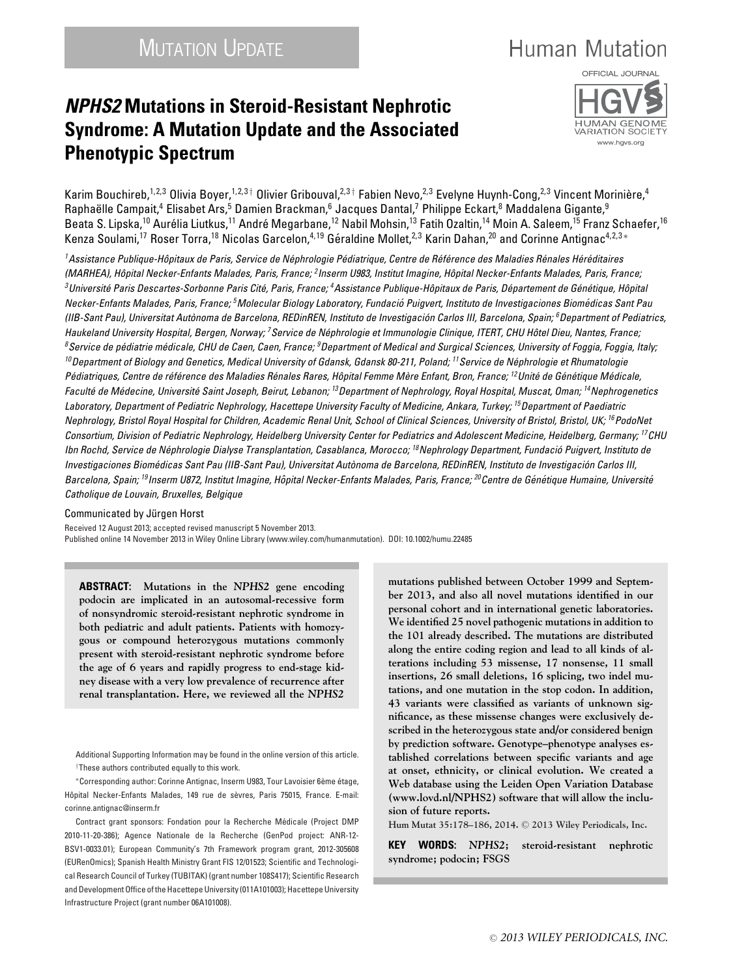# **Human Mutation**

## *NPHS2* **Mutations in Steroid-Resistant Nephrotic Syndrome: A Mutation Update and the Associated Phenotypic Spectrum**



Karim Bouchireb, $^{1,2,3}$  Olivia Boyer, $^{1,2,3\dagger}$  Olivier Gribouval, $^{2,3\dagger}$  Fabien Nevo, $^{2,3}$  Evelyne Huynh-Cong, $^{2,3}$  Vincent Morinière, $^4$ Raphaëlle Campait,<sup>4</sup> Elisabet Ars,<sup>5</sup> Damien Brackman,<sup>6</sup> Jacques Dantal,<sup>7</sup> Philippe Eckart,<sup>8</sup> Maddalena Gigante,<sup>9</sup> Beata S. Lipska,<sup>10</sup> Aurélia Liutkus,<sup>11</sup> André Megarbane,<sup>12</sup> Nabil Mohsin,<sup>13</sup> Fatih Ozaltin,<sup>14</sup> Moin A. Saleem,<sup>15</sup> Franz Schaefer,<sup>16</sup> Kenza Soulami,<sup>17</sup> Roser Torra,<sup>18</sup> Nicolas Garcelon,<sup>4,19</sup> Géraldine Mollet,<sup>2,3</sup> Karin Dahan,<sup>20</sup> and Corinne Antignac<sup>4,2,3</sup> \*

<sup>1</sup>Assistance Publique-Hôpitaux de Paris, Service de Néphrologie Pédiatrique, Centre de Référence des Maladies Rénales Héréditaires *(MARHEA), Hopital Necker-Enfants Malades, Paris, France; ˆ 2Inserm U983, Institut Imagine, Hopital Necker-Enfants Malades, Paris, France; ˆ* <sup>3</sup>Université Paris Descartes-Sorbonne Paris Cité, Paris, France; <sup>4</sup>Assistance Publique-Hôpitaux de Paris, Département de Génétique, Hôpital *Necker-Enfants Malades, Paris, France; 5Molecular Biology Laboratory, Fundacio Puigvert, Instituto de Investigaciones Biom ´ edicas Sant Pau ´ (IIB-Sant Pau), Universitat Autonoma de Barcelona, REDinREN, Instituto de Investigaci ` on Carlos III, Barcelona, Spain; ´ 6Department of Pediatrics, Haukeland University Hospital, Bergen, Norway; 7Service de Nephrologie et Immunologie Clinique, ITERT, CHU H ´ otel Dieu, Nantes, France; ˆ 8Service de pediatrie m ´ edicale, CHU de Caen, Caen, France; ´ 9Department of Medical and Surgical Sciences, University of Foggia, Foggia, Italy; 10Department of Biology and Genetics, Medical University of Gdansk, Gdansk 80-211, Poland; 11Service de Nephrologie et Rhumatologie ´* Pédiatriques. Centre de référence des Maladies Rénales Rares. Hôpital Femme Mère Enfant. Bron. France: <sup>12</sup>Unité de Génétique Médicale. *Faculte de M ´ edecine, Universit ´ e Saint Joseph, Beirut, Lebanon; ´ 13Department of Nephrology, Royal Hospital, Muscat, Oman; 14Nephrogenetics Laboratory, Department of Pediatric Nephrology, Hacettepe University Faculty of Medicine, Ankara, Turkey; 15Department of Paediatric Nephrology, Bristol Royal Hospital for Children, Academic Renal Unit, School of Clinical Sciences, University of Bristol, Bristol, UK; 16PodoNet Consortium, Division of Pediatric Nephrology, Heidelberg University Center for Pediatrics and Adolescent Medicine, Heidelberg, Germany; 17CHU Ibn Rochd, Service de Nephrologie Dialyse Transplantation, Casablanca, Morocco; ´ 18Nephrology Department, Fundacio Puigvert, Instituto de ´ Investigaciones Biomedicas Sant Pau (IIB-Sant Pau), Universitat Aut ´ onoma de Barcelona, REDinREN, Instituto de Investigaci ` on Carlos III, ´ Barcelona, Spain; 19Inserm U872, Institut Imagine, Hopital Necker-Enfants Malades, Paris, France; ˆ 20Centre de Gen´ etique Humaine, Universit ´ e´ Catholique de Louvain, Bruxelles, Belgique*

Communicated by Jürgen Horst

Received 12 August 2013; accepted revised manuscript 5 November 2013. Published online 14 November 2013 in Wiley Online Library (www.wiley.com/humanmutation). DOI: 10.1002/humu.22485

**ABSTRACT: Mutations in the** *NPHS2* **gene encoding podocin are implicated in an autosomal-recessive form of nonsyndromic steroid-resistant nephrotic syndrome in both pediatric and adult patients. Patients with homozygous or compound heterozygous mutations commonly present with steroid-resistant nephrotic syndrome before the age of 6 years and rapidly progress to end-stage kidney disease with a very low prevalence of recurrence after renal transplantation. Here, we reviewed all the** *NPHS2*

Additional Supporting Information may be found in the online version of this article.  $\dagger$ These authors contributed equally to this work.

∗Corresponding author: Corinne Antignac, Inserm U983, Tour Lavoisier 6eme ` etage, ´ Hôpital Necker-Enfants Malades, 149 rue de sèvres, Paris 75015, France. E-mail: corinne antignac@inserm.fr

Contract grant sponsors: Fondation pour la Recherche Medicale (Project DMP ´ 2010-11-20-386); Agence Nationale de la Recherche (GenPod project: ANR-12- BSV1-0033.01); European Community's 7th Framework program grant, 2012-305608 (EURenOmics); Spanish Health Ministry Grant FIS 12/01523; Scientific and Technological Research Council of Turkey (TUBITAK) (grant number 108S417); Scientific Research and Development Office of the Hacettepe University (011A101003); Hacettepe University Infrastructure Project (grant number 06A101008).

**mutations published between October 1999 and September 2013, and also all novel mutations identified in our personal cohort and in international genetic laboratories. We identified 25 novel pathogenic mutations in addition to the 101 already described. The mutations are distributed along the entire coding region and lead to all kinds of alterations including 53 missense, 17 nonsense, 11 small insertions, 26 small deletions, 16 splicing, two indel mutations, and one mutation in the stop codon. In addition, 43 variants were classified as variants of unknown significance, as these missense changes were exclusively described in the heterozygous state and/or considered benign by prediction software. Genotype–phenotype analyses established correlations between specific variants and age at onset, ethnicity, or clinical evolution. We created a Web database using the Leiden Open Variation Database (www.lovd.nl/NPHS2) software that will allow the inclusion of future reports.**

**Hum Mutat 35:178–186, 2014.** <sup>C</sup> **2013 Wiley Periodicals, Inc.**

**KEY WORDS:** *NPHS2***; steroid-resistant nephrotic syndrome; podocin; FSGS**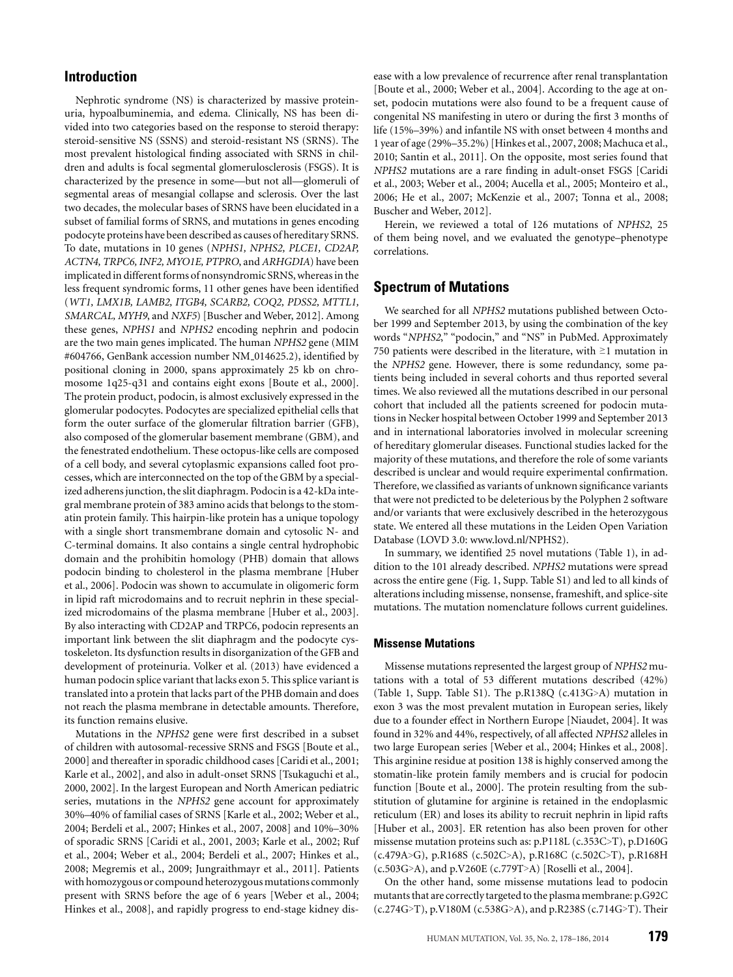## **Introduction**

Nephrotic syndrome (NS) is characterized by massive proteinuria, hypoalbuminemia, and edema. Clinically, NS has been divided into two categories based on the response to steroid therapy: steroid-sensitive NS (SSNS) and steroid-resistant NS (SRNS). The most prevalent histological finding associated with SRNS in children and adults is focal segmental glomerulosclerosis (FSGS). It is characterized by the presence in some—but not all—glomeruli of segmental areas of mesangial collapse and sclerosis. Over the last two decades, the molecular bases of SRNS have been elucidated in a subset of familial forms of SRNS, and mutations in genes encoding podocyte proteins have been described as causes of hereditary SRNS. To date, mutations in 10 genes (*NPHS1, NPHS2, PLCE1, CD2AP, ACTN4, TRPC6, INF2, MYO1E, PTPRO*, and *ARHGDIA*) have been implicated in different forms of nonsyndromic SRNS, whereas in the less frequent syndromic forms, 11 other genes have been identified (*WT1, LMX1B, LAMB2, ITGB4, SCARB2, COQ2, PDSS2, MTTL1, SMARCAL, MYH9*, and *NXF5*) [Buscher and Weber, 2012]. Among these genes, *NPHS1* and *NPHS2* encoding nephrin and podocin are the two main genes implicated. The human *NPHS2* gene (MIM #604766, GenBank accession number NM\_014625.2), identified by positional cloning in 2000, spans approximately 25 kb on chromosome 1q25-q31 and contains eight exons [Boute et al., 2000]. The protein product, podocin, is almost exclusively expressed in the glomerular podocytes. Podocytes are specialized epithelial cells that form the outer surface of the glomerular filtration barrier (GFB), also composed of the glomerular basement membrane (GBM), and the fenestrated endothelium. These octopus-like cells are composed of a cell body, and several cytoplasmic expansions called foot processes, which are interconnected on the top of the GBM by a specialized adherens junction, the slit diaphragm. Podocin is a 42-kDa integral membrane protein of 383 amino acids that belongs to the stomatin protein family. This hairpin-like protein has a unique topology with a single short transmembrane domain and cytosolic N- and C-terminal domains. It also contains a single central hydrophobic domain and the prohibitin homology (PHB) domain that allows podocin binding to cholesterol in the plasma membrane [Huber et al., 2006]. Podocin was shown to accumulate in oligomeric form in lipid raft microdomains and to recruit nephrin in these specialized microdomains of the plasma membrane [Huber et al., 2003]. By also interacting with CD2AP and TRPC6, podocin represents an important link between the slit diaphragm and the podocyte cystoskeleton. Its dysfunction results in disorganization of the GFB and development of proteinuria. Volker et al. (2013) have evidenced a human podocin splice variant that lacks exon 5. This splice variant is translated into a protein that lacks part of the PHB domain and does not reach the plasma membrane in detectable amounts. Therefore, its function remains elusive.

Mutations in the *NPHS2* gene were first described in a subset of children with autosomal-recessive SRNS and FSGS [Boute et al., 2000] and thereafter in sporadic childhood cases [Caridi et al., 2001; Karle et al., 2002], and also in adult-onset SRNS [Tsukaguchi et al., 2000, 2002]. In the largest European and North American pediatric series, mutations in the *NPHS2* gene account for approximately 30%–40% of familial cases of SRNS [Karle et al., 2002; Weber et al., 2004; Berdeli et al., 2007; Hinkes et al., 2007, 2008] and 10%–30% of sporadic SRNS [Caridi et al., 2001, 2003; Karle et al., 2002; Ruf et al., 2004; Weber et al., 2004; Berdeli et al., 2007; Hinkes et al., 2008; Megremis et al., 2009; Jungraithmayr et al., 2011]. Patients with homozygous or compound heterozygous mutations commonly present with SRNS before the age of 6 years [Weber et al., 2004; Hinkes et al., 2008], and rapidly progress to end-stage kidney disease with a low prevalence of recurrence after renal transplantation [Boute et al., 2000; Weber et al., 2004]. According to the age at onset, podocin mutations were also found to be a frequent cause of congenital NS manifesting in utero or during the first 3 months of life (15%–39%) and infantile NS with onset between 4 months and 1 year of age (29%–35.2%) [Hinkes et al., 2007, 2008; Machuca et al., 2010; Santin et al., 2011]. On the opposite, most series found that *NPHS2* mutations are a rare finding in adult-onset FSGS [Caridi et al., 2003; Weber et al., 2004; Aucella et al., 2005; Monteiro et al., 2006; He et al., 2007; McKenzie et al., 2007; Tonna et al., 2008; Buscher and Weber, 2012].

Herein, we reviewed a total of 126 mutations of *NPHS2*, 25 of them being novel, and we evaluated the genotype–phenotype correlations.

## **Spectrum of Mutations**

We searched for all *NPHS2* mutations published between October 1999 and September 2013, by using the combination of the key words "*NPHS2*," "podocin," and "NS" in PubMed. Approximately 750 patients were described in the literature, with ≥1 mutation in the *NPHS2* gene. However, there is some redundancy, some patients being included in several cohorts and thus reported several times. We also reviewed all the mutations described in our personal cohort that included all the patients screened for podocin mutations in Necker hospital between October 1999 and September 2013 and in international laboratories involved in molecular screening of hereditary glomerular diseases. Functional studies lacked for the majority of these mutations, and therefore the role of some variants described is unclear and would require experimental confirmation. Therefore, we classified as variants of unknown significance variants that were not predicted to be deleterious by the Polyphen 2 software and/or variants that were exclusively described in the heterozygous state. We entered all these mutations in the Leiden Open Variation Database (LOVD 3.0: www.lovd.nl/NPHS2).

In summary, we identified 25 novel mutations (Table 1), in addition to the 101 already described. *NPHS2* mutations were spread across the entire gene (Fig. 1, Supp. Table S1) and led to all kinds of alterations including missense, nonsense, frameshift, and splice-site mutations. The mutation nomenclature follows current guidelines.

#### **Missense Mutations**

Missense mutations represented the largest group of *NPHS2* mutations with a total of 53 different mutations described (42%) (Table 1, Supp. Table S1). The p.R138Q (c.413G>A) mutation in exon 3 was the most prevalent mutation in European series, likely due to a founder effect in Northern Europe [Niaudet, 2004]. It was found in 32% and 44%, respectively, of all affected *NPHS2* alleles in two large European series [Weber et al., 2004; Hinkes et al., 2008]. This arginine residue at position 138 is highly conserved among the stomatin-like protein family members and is crucial for podocin function [Boute et al., 2000]. The protein resulting from the substitution of glutamine for arginine is retained in the endoplasmic reticulum (ER) and loses its ability to recruit nephrin in lipid rafts [Huber et al., 2003]. ER retention has also been proven for other missense mutation proteins such as: p.P118L (c.353C>T), p.D160G (c.479A>G), p.R168S (c.502C>A), p.R168C (c.502C>T), p.R168H (c.503G>A), and p.V260E (c.779T>A) [Roselli et al., 2004].

On the other hand, some missense mutations lead to podocin mutants that are correctly targeted to the plasma membrane: p.G92C (c.274G>T), p.V180M (c.538G>A), and p.R238S (c.714G>T). Their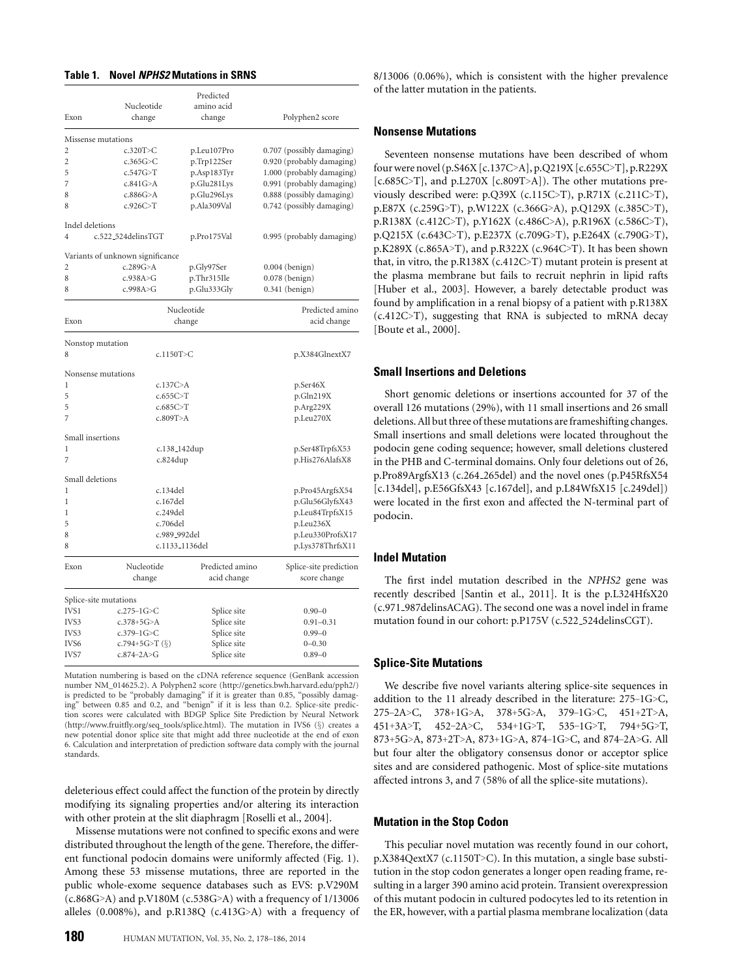## **Table 1. Novel** *NPHS2* **Mutations in SRNS**

|                    |                                  | Predicted                        |                           |  |
|--------------------|----------------------------------|----------------------------------|---------------------------|--|
|                    | Nucleotide                       | amino acid                       |                           |  |
| Exon               | change                           | change                           | Polyphen2 score           |  |
| Missense mutations |                                  |                                  |                           |  |
| 2                  | c.320T>C                         | p.Leu107Pro                      | 0.707 (possibly damaging) |  |
| $\overline{c}$     | c.365 $G>C$                      | p.Trp122Ser                      | 0.920 (probably damaging) |  |
| 5                  | c.547G>T                         | p.Asp183Tyr                      | 1.000 (probably damaging) |  |
| 7                  | c.841G>A                         | p.Glu281Lys                      | 0.991 (probably damaging) |  |
| 8                  | c.886G $>A$                      | p.Glu296Lys                      | 0.888 (possibly damaging) |  |
| 8                  | c.926C>T                         | p.Ala309Val                      | 0.742 (possibly damaging) |  |
| Indel deletions    |                                  |                                  |                           |  |
| 4                  | c.522_524delinsTGT               | p.Pro175Val                      | 0.995 (probably damaging) |  |
|                    | Variants of unknown significance |                                  |                           |  |
| 2                  | c.289G > A                       | p.Gly97Ser                       | $0.004$ (benign)          |  |
| 8                  | c.938A>G                         | p.Thr315Ile                      | 0.078 (benign)            |  |
| 8                  | c.998A>G                         | p.Glu333Gly                      | 0.341 (benign)            |  |
| Nucleotide         |                                  |                                  | Predicted amino           |  |
| Exon               |                                  | change                           | acid change               |  |
| Nonstop mutation   |                                  |                                  |                           |  |
| 8                  | c.1150T>C                        |                                  | p.X384GlnextX7            |  |
|                    | Nonsense mutations               |                                  |                           |  |
| 1                  | c.137C>A                         |                                  | p.Ser46X                  |  |
| 5                  | c.655C>T                         |                                  | p.Gln219X                 |  |
| 5                  | c.685C>T                         |                                  | p.Arg229X                 |  |
| 7                  | c.809T>A                         |                                  | p.Leu270X                 |  |
| Small insertions   |                                  |                                  |                           |  |
| 1                  |                                  | c.138_142dup                     | p.Ser48TrpfsX53           |  |
| 7                  | c.824dup                         |                                  | p.His276AlafsX8           |  |
| Small deletions    |                                  |                                  |                           |  |
| 1                  | c.134del                         |                                  | p.Pro45ArgfsX54           |  |
| 1                  | c.167del                         |                                  | p.Glu56GlyfsX43           |  |
| 1                  |                                  | c.249del                         |                           |  |
| 5                  |                                  | c.706del<br>p.Leu236X            |                           |  |
| 8                  |                                  | c.989_992del<br>p.Leu330ProfsX17 |                           |  |
| 8                  |                                  | c.1133_1136del                   | p.Lys378ThrfsX11          |  |
| Exon               | Nucleotide                       | Predicted amino                  | Splice-site prediction    |  |
|                    | change                           | acid change                      | score change              |  |
|                    | Splice-site mutations            |                                  |                           |  |
| IVS1               | $c.275 - 1G > C$                 | Splice site                      | $0.90 - 0$                |  |
| IVS3               | $c.378 + 5G > A$                 | Splice site                      | $0.91 - 0.31$             |  |
| IVS3               | $c.379 - 1G > C$                 | Splice site                      | $0.99 - 0$                |  |
| IVS6               | c.794+5G>T $(\S)$                | Splice site                      | $0 - 0.30$                |  |
| IVS7               | $c.874 - 2A > G$                 | Splice site                      | $0.89 - 0$                |  |
|                    |                                  |                                  |                           |  |

Mutation numbering is based on the cDNA reference sequence (GenBank accession number NM\_014625.2). A Polyphen2 score (http://genetics.bwh.harvard.edu/pph2/) is predicted to be "probably damaging" if it is greater than 0.85, "possibly damag-ing" between 0.85 and 0.2, and "benign" if it is less than 0.2. Splice-site prediction scores were calculated with BDGP Splice Site Prediction by Neural Network (http://www.fruitfly.org/seq\_tools/splice.html). The mutation in IVS6 (§) creates a new potential donor splice site that might add three nucleotide at the end of exon 6. Calculation and interpretation of prediction software data comply with the journal standards.

deleterious effect could affect the function of the protein by directly modifying its signaling properties and/or altering its interaction with other protein at the slit diaphragm [Roselli et al., 2004].

Missense mutations were not confined to specific exons and were distributed throughout the length of the gene. Therefore, the different functional podocin domains were uniformly affected (Fig. 1). Among these 53 missense mutations, three are reported in the public whole-exome sequence databases such as EVS: p.V290M  $(c.868G>A)$  and p.V180M  $(c.538G>A)$  with a frequency of 1/13006 alleles (0.008%), and p.R138Q (c.413G>A) with a frequency of 8/13006 (0.06%), which is consistent with the higher prevalence of the latter mutation in the patients.

## **Nonsense Mutations**

Seventeen nonsense mutations have been described of whom four were novel (p.S46X [c.137C>A], p.Q219X [c.655C>T], p.R229X [ $c.685C>T$ ], and  $p.L270X$  [ $c.809T>A$ ]). The other mutations previously described were: p.Q39X (c.115C>T), p.R71X (c.211C>T), p.E87X (c.259G>T), p.W122X (c.366G>A), p.Q129X (c.385C>T), p.R138X (c.412C>T), p.Y162X (c.486C>A), p.R196X (c.586C>T), p.Q215X (c.643C>T), p.E237X (c.709G>T), p.E264X (c.790G>T), p.K289X (c.865A>T), and p.R322X (c.964C>T). It has been shown that, in vitro, the p.R138X (c.412C>T) mutant protein is present at the plasma membrane but fails to recruit nephrin in lipid rafts [Huber et al., 2003]. However, a barely detectable product was found by amplification in a renal biopsy of a patient with p.R138X (c.412C>T), suggesting that RNA is subjected to mRNA decay [Boute et al., 2000].

#### **Small Insertions and Deletions**

Short genomic deletions or insertions accounted for 37 of the overall 126 mutations (29%), with 11 small insertions and 26 small deletions. All but three of these mutations are frameshifting changes. Small insertions and small deletions were located throughout the podocin gene coding sequence; however, small deletions clustered in the PHB and C-terminal domains. Only four deletions out of 26, p.Pro89ArgfsX13 (c.264 265del) and the novel ones (p.P45RfsX54 [c.134del], p.E56GfsX43 [c.167del], and p.L84WfsX15 [c.249del]) were located in the first exon and affected the N-terminal part of podocin.

## **Indel Mutation**

The first indel mutation described in the *NPHS2* gene was recently described [Santin et al., 2011]. It is the p.L324HfsX20 (c.971 987delinsACAG). The second one was a novel indel in frame mutation found in our cohort: p.P175V (c.522 524delinsCGT).

#### **Splice-Site Mutations**

We describe five novel variants altering splice-site sequences in addition to the 11 already described in the literature: 275–1G>C, 275–2A>C, 378+1G>A, 378+5G>A, 379–1G>C, 451+2T>A, 451+3A>T, 452–2A>C, 534+1G>T, 535–1G>T, 794+5G>T, 873+5G>A, 873+2T>A, 873+1G>A, 874–1G>C, and 874–2A>G. All but four alter the obligatory consensus donor or acceptor splice sites and are considered pathogenic. Most of splice-site mutations affected introns 3, and 7 (58% of all the splice-site mutations).

## **Mutation in the Stop Codon**

This peculiar novel mutation was recently found in our cohort, p.X384QextX7 (c.1150T>C). In this mutation, a single base substitution in the stop codon generates a longer open reading frame, resulting in a larger 390 amino acid protein. Transient overexpression of this mutant podocin in cultured podocytes led to its retention in the ER, however, with a partial plasma membrane localization (data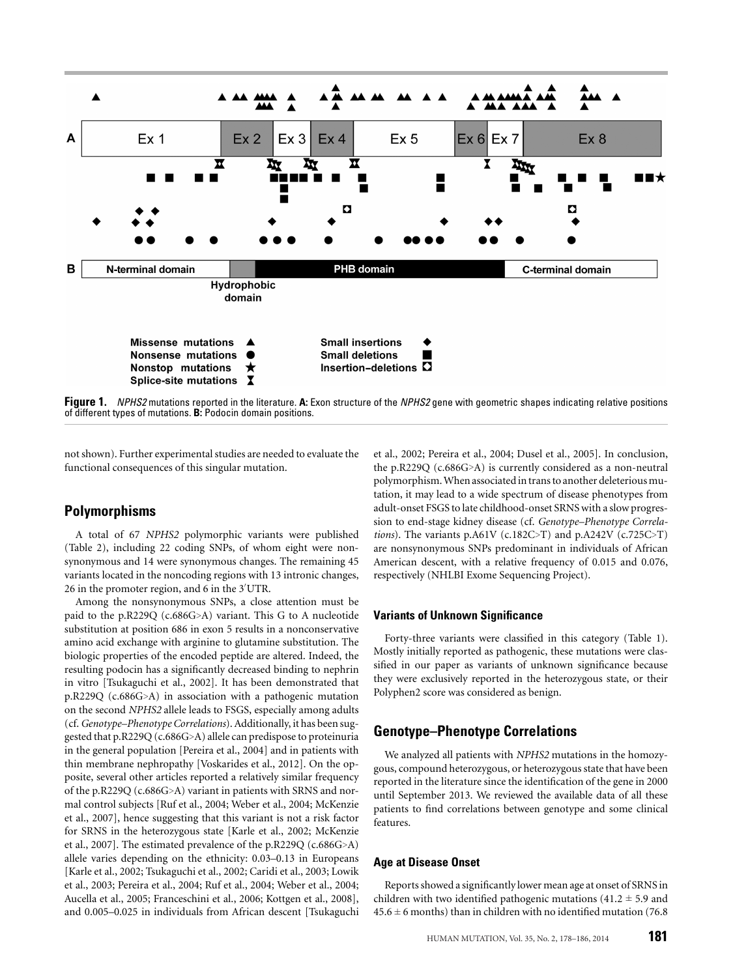

**Figure 1.** *NPHS2* mutations reported in the literature. **A:** Exon structure of the *NPHS2* gene with geometric shapes indicating relative positions of different types of mutations. **B:** Podocin domain positions.

not shown). Further experimental studies are needed to evaluate the functional consequences of this singular mutation.

## **Polymorphisms**

A total of 67 *NPHS2* polymorphic variants were published (Table 2), including 22 coding SNPs, of whom eight were nonsynonymous and 14 were synonymous changes. The remaining 45 variants located in the noncoding regions with 13 intronic changes, 26 in the promoter region, and 6 in the 3 UTR.

Among the nonsynonymous SNPs, a close attention must be paid to the p.R229Q (c.686G>A) variant. This G to A nucleotide substitution at position 686 in exon 5 results in a nonconservative amino acid exchange with arginine to glutamine substitution. The biologic properties of the encoded peptide are altered. Indeed, the resulting podocin has a significantly decreased binding to nephrin in vitro [Tsukaguchi et al., 2002]. It has been demonstrated that p.R229Q (c.686G>A) in association with a pathogenic mutation on the second *NPHS2* allele leads to FSGS, especially among adults (cf.*Genotype–Phenotype Correlations*). Additionally, it has been suggested that p.R229Q (c.686G>A) allele can predispose to proteinuria in the general population [Pereira et al., 2004] and in patients with thin membrane nephropathy [Voskarides et al., 2012]. On the opposite, several other articles reported a relatively similar frequency of the p.R229Q (c.686G>A) variant in patients with SRNS and normal control subjects [Ruf et al., 2004; Weber et al., 2004; McKenzie et al., 2007], hence suggesting that this variant is not a risk factor for SRNS in the heterozygous state [Karle et al., 2002; McKenzie et al., 2007]. The estimated prevalence of the p.R229Q (c.686G>A) allele varies depending on the ethnicity: 0.03–0.13 in Europeans [Karle et al., 2002; Tsukaguchi et al., 2002; Caridi et al., 2003; Lowik et al., 2003; Pereira et al., 2004; Ruf et al., 2004; Weber et al., 2004; Aucella et al., 2005; Franceschini et al., 2006; Kottgen et al., 2008], and 0.005–0.025 in individuals from African descent [Tsukaguchi

et al., 2002; Pereira et al., 2004; Dusel et al., 2005]. In conclusion, the p.R229Q (c.686G>A) is currently considered as a non-neutral polymorphism.When associated in trans to another deleterious mutation, it may lead to a wide spectrum of disease phenotypes from adult-onset FSGS to late childhood-onset SRNS with a slow progression to end-stage kidney disease (cf. *Genotype–Phenotype Correlations*). The variants p.A61V (c.182C>T) and p.A242V (c.725C>T) are nonsynonymous SNPs predominant in individuals of African American descent, with a relative frequency of 0.015 and 0.076, respectively (NHLBI Exome Sequencing Project).

## **Variants of Unknown Significance**

Forty-three variants were classified in this category (Table 1). Mostly initially reported as pathogenic, these mutations were classified in our paper as variants of unknown significance because they were exclusively reported in the heterozygous state, or their Polyphen2 score was considered as benign.

## **Genotype–Phenotype Correlations**

We analyzed all patients with *NPHS2* mutations in the homozygous, compound heterozygous, or heterozygous state that have been reported in the literature since the identification of the gene in 2000 until September 2013. We reviewed the available data of all these patients to find correlations between genotype and some clinical features.

#### **Age at Disease Onset**

Reports showed a significantly lower mean age at onset of SRNS in children with two identified pathogenic mutations  $(41.2 \pm 5.9 \text{ and}$  $45.6 \pm 6$  months) than in children with no identified mutation (76.8)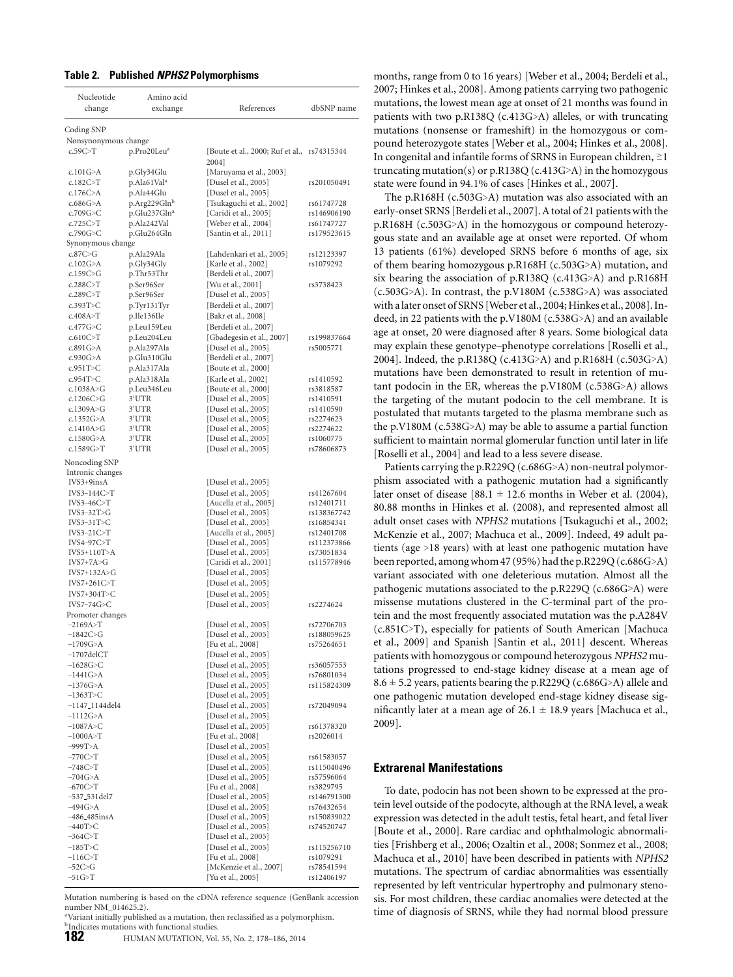#### **Table 2. Published** *NPHS2* **Polymorphisms**

| Nucleotide                                        | Amino acid               |                                                       |                           |
|---------------------------------------------------|--------------------------|-------------------------------------------------------|---------------------------|
| change                                            | exchange                 | References                                            | dbSNP name                |
|                                                   |                          |                                                       |                           |
| Coding SNP                                        |                          |                                                       |                           |
| Nonsynonymous change                              |                          |                                                       |                           |
| c.59C > T                                         | p.Pro20Leu <sup>a</sup>  | [Boute et al., 2000; Ruf et al., rs74315344]<br>2004] |                           |
| c.101 $G>A$                                       | p.Gly34Glu               | [Maruyama et al., 2003]                               |                           |
| c.182C>T                                          | p.Ala61Val <sup>a</sup>  | [Dusel et al., 2005]                                  | rs201050491               |
| c.176 $C>A$                                       | p.Ala44Glu               | [Dusel et al., 2005]                                  |                           |
| c.686G>A                                          | p.Arg229Glnb             | [Tsukaguchi et al., 2002]                             | rs61747728                |
| c.709G>C                                          | p.Glu237Gln <sup>a</sup> | [Caridi et al., 2005]                                 | rs146906190               |
| c.725C > T                                        | p.Ala242Val              | [Weber et al., 2004]                                  | rs61747727                |
| c.790G > C                                        | p.Glu264Gln              | [Santin et al., 2011]                                 | rs179523615               |
| Synonymous change                                 |                          |                                                       |                           |
| c.87C>G                                           | p.Ala29Ala               | [Lahdenkari et al., 2005]                             | rs12123397                |
| c.102G>A                                          | p.Gly34Gly               | [Karle et al., 2002]                                  | rs1079292                 |
| c.159 $C>G$                                       | p.Thr53Thr               | [Berdeli et al., 2007]                                |                           |
| c.288C > T                                        | p.Ser96Ser               | [Wu et al., 2001]                                     | rs3738423                 |
| c.289C>T                                          | p.Ser96Ser               | [Dusel et al., 2005]                                  |                           |
| c.393T>C                                          | p.Tyr131Tyr              | [Berdeli et al., 2007]                                |                           |
| c.408A > T                                        | p.Ile136Ile              | [Bakr et al., 2008]                                   |                           |
| c.477 $G>C$                                       | p.Leu159Leu              | [Berdeli et al., 2007]                                |                           |
| c.610C>T                                          | p.Leu204Leu              | [Gbadegesin et al., 2007]                             | rs199837664               |
| c.891 $G$ >A                                      | p.Ala297Ala              | [Dusel et al., 2005]                                  | rs5005771                 |
| c.930 $G>A$                                       | p.Glu310Glu              | [Berdeli et al., 2007]                                |                           |
| c.951T>C                                          | p.Ala317Ala              | [Boute et al., 2000]                                  |                           |
| c.954T > C                                        | p.Ala318Ala              | [Karle et al., 2002]                                  | rs1410592                 |
| c.1038A > G                                       | p.Leu346Leu              | [Boute et al., 2000]                                  | rs3818587                 |
| c.1206C>G                                         | 3'UTR                    | [Dusel et al., 2005]                                  | rs1410591                 |
| c.1309A>G                                         | 3'UTR                    | [Dusel et al., 2005]                                  | rs1410590                 |
| c.1352G>A                                         | 3'UTR                    | [Dusel et al., 2005]                                  | rs2274623                 |
| c.1410A > G                                       | 3'UTR                    | [Dusel et al., 2005]                                  | rs2274622                 |
| c.1580G > A                                       | 3'UTR                    | [Dusel et al., 2005]                                  | rs1060775                 |
| c.1589G>T                                         | 3'UTR                    | [Dusel et al., 2005]                                  | rs78606873                |
| Noncoding SNP<br>Intronic changes<br>$IVS3+9insA$ |                          | [Dusel et al., 2005]                                  |                           |
| IVS3-144C>T                                       |                          | [Dusel et al., 2005]                                  |                           |
| $IVS3-46C>T$                                      |                          | [Aucella et al., 2005]                                | rs41267604<br>rs12401711  |
| $IVS3-32T>G$                                      |                          | [Dusel et al., 2005]                                  | rs138367742               |
| $IVS3-31T>C$                                      |                          | [Dusel et al., 2005]                                  | rs16854341                |
| $IVS3-21C>T$                                      |                          | [Aucella et al., 2005]                                | rs12401708                |
| $IVS4-97C>T$                                      |                          | [Dusel et al., 2005]                                  | rs112373866               |
| $IVS5+110T>A$                                     |                          | [Dusel et al., 2005]                                  | rs73051834                |
| $IVS7+7A>G$                                       |                          | [Caridi et al., 2001]                                 | rs115778946               |
| $IVS7+132A>G$                                     |                          | [Dusel et al., 2005]                                  |                           |
| $IVS7+261C>T$                                     |                          | [Dusel et al., 2005]                                  |                           |
| IVS7+304T>C                                       |                          | [Dusel et al., 2005]                                  |                           |
| IVS7-74G>C                                        |                          | [Dusel et al., 2005]                                  | rs2274624                 |
| Promoter changes                                  |                          |                                                       |                           |
| $-2169A > T$                                      |                          | [Dusel et al., 2005]                                  | rs72706703                |
| $-1842C > G$                                      |                          | [Dusel et al., 2005]                                  | rs188059625               |
| $-1709G > A$                                      |                          | [Fu et al., 2008]                                     | rs75264651                |
| $-1707$ del $CT$                                  |                          | [Dusel et al., 2005]                                  |                           |
| $-1628G > C$<br>$-1441G > A$                      |                          | [Dusel et al., 2005]                                  | rs36057553                |
| $-1376G > A$                                      |                          | [Dusel et al., 2005]<br>[Dusel et al., 2005]          | rs76801034<br>rs115824309 |
| $-1363T>C$                                        |                          | [Dusel et al., 2005]                                  |                           |
| $-1147\_1144$ del4                                |                          | [Dusel et al., 2005]                                  | rs72049094                |
| $-1112G > A$                                      |                          | [Dusel et al., 2005]                                  |                           |
| $-1087A > C$                                      |                          | [Dusel et al., 2005]                                  | rs61378320                |
| $-1000A > T$                                      |                          | [Fu et al., 2008]                                     | rs2026014                 |
| $-999T>A$                                         |                          | [Dusel et al., 2005]                                  |                           |
| $-770C>T$                                         |                          | [Dusel et al., 2005]                                  | rs61583057                |
| $-748C > T$                                       |                          | [Dusel et al., 2005]                                  | rs115040496               |
| $-704G > A$                                       |                          | [Dusel et al., 2005]                                  | rs57596064                |
| $-670C > T$                                       |                          | [Fu et al., 2008]                                     | rs3829795                 |
| -537 <sub>-531</sub> del7                         |                          | [Dusel et al., 2005]                                  | rs146791300               |
| $-494G>A$                                         |                          | [Dusel et al., 2005]                                  | rs76432654                |
| $-486.485$ ins $A$                                |                          | [Dusel et al., 2005]                                  | rs150839022               |
| $-440T>C$                                         |                          | [Dusel et al., 2005]                                  | rs74520747                |
| $-364C>T$                                         |                          | [Dusel et al., 2005]                                  |                           |
| $-185T>C$                                         |                          | [Dusel et al., 2005]                                  | rs115256710               |
| $-116C > T$                                       |                          | [Fu et al., 2008]                                     | rs1079291                 |
| $-52C>G$                                          |                          | [McKenzie et al., 2007]                               | rs78541594                |
| $-51G > T$                                        |                          | [Yu et al., 2005]                                     | rs12406197                |

Mutation numbering is based on the cDNA reference sequence (GenBank accession number NM\_014625.2).

<sup>a</sup>Variant initially published as a mutation, then reclassified as a polymorphism. <sup>2</sup>Indicates mutations with functional studies.

**182** HUMAN MUTATION, Vol. 35, No. 2, 178–186, 2014

months, range from 0 to 16 years) [Weber et al., 2004; Berdeli et al., 2007; Hinkes et al., 2008]. Among patients carrying two pathogenic mutations, the lowest mean age at onset of 21 months was found in patients with two p.R138Q (c.413G>A) alleles, or with truncating mutations (nonsense or frameshift) in the homozygous or compound heterozygote states [Weber et al., 2004; Hinkes et al., 2008]. In congenital and infantile forms of SRNS in European children,  $\geq$ 1 truncating mutation(s) or p.R138Q (c.413G>A) in the homozygous state were found in 94.1% of cases [Hinkes et al., 2007].

The p.R168H (c.503G>A) mutation was also associated with an early-onset SRNS [Berdeli et al., 2007]. A total of 21 patients with the p.R168H (c.503G>A) in the homozygous or compound heterozygous state and an available age at onset were reported. Of whom 13 patients (61%) developed SRNS before 6 months of age, six of them bearing homozygous p.R168H (c.503G>A) mutation, and six bearing the association of p.R138Q (c.413G>A) and p.R168H (c.503G>A). In contrast, the p.V180M (c.538G>A) was associated with a later onset of SRNS [Weber et al., 2004; Hinkes et al., 2008]. Indeed, in 22 patients with the p.V180M (c.538G>A) and an available age at onset, 20 were diagnosed after 8 years. Some biological data may explain these genotype–phenotype correlations [Roselli et al., 2004]. Indeed, the p.R138Q (c.413G>A) and p.R168H (c.503G>A) mutations have been demonstrated to result in retention of mutant podocin in the ER, whereas the p.V180M (c.538G>A) allows the targeting of the mutant podocin to the cell membrane. It is postulated that mutants targeted to the plasma membrane such as the p.V180M (c.538G>A) may be able to assume a partial function sufficient to maintain normal glomerular function until later in life [Roselli et al., 2004] and lead to a less severe disease.

Patients carrying the p.R229Q (c.686G>A) non-neutral polymorphism associated with a pathogenic mutation had a significantly later onset of disease [88.1  $\pm$  12.6 months in Weber et al. (2004), 80.88 months in Hinkes et al. (2008), and represented almost all adult onset cases with *NPHS2* mutations [Tsukaguchi et al., 2002; McKenzie et al., 2007; Machuca et al., 2009]. Indeed, 49 adult patients (age >18 years) with at least one pathogenic mutation have been reported, among whom 47 (95%) had the p.R229Q (c.686G>A) variant associated with one deleterious mutation. Almost all the pathogenic mutations associated to the p.R229Q (c.686G>A) were missense mutations clustered in the C-terminal part of the protein and the most frequently associated mutation was the p.A284V (c.851C>T), especially for patients of South American [Machuca et al., 2009] and Spanish [Santin et al., 2011] descent. Whereas patients with homozygous or compound heterozygous *NPHS2* mutations progressed to end-stage kidney disease at a mean age of  $8.6 \pm 5.2$  years, patients bearing the p.R229Q (c.686G>A) allele and one pathogenic mutation developed end-stage kidney disease significantly later at a mean age of  $26.1 \pm 18.9$  years [Machuca et al., 2009].

#### **Extrarenal Manifestations**

To date, podocin has not been shown to be expressed at the protein level outside of the podocyte, although at the RNA level, a weak expression was detected in the adult testis, fetal heart, and fetal liver [Boute et al., 2000]. Rare cardiac and ophthalmologic abnormalities [Frishberg et al., 2006; Ozaltin et al., 2008; Sonmez et al., 2008; Machuca et al., 2010] have been described in patients with *NPHS2* mutations. The spectrum of cardiac abnormalities was essentially represented by left ventricular hypertrophy and pulmonary stenosis. For most children, these cardiac anomalies were detected at the time of diagnosis of SRNS, while they had normal blood pressure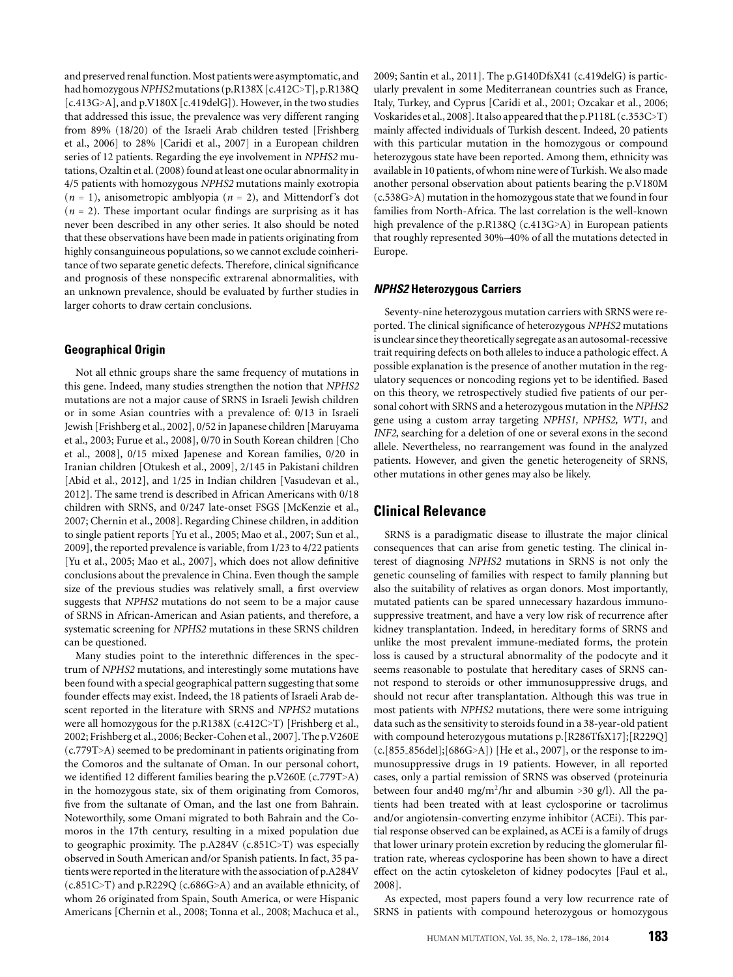and preserved renal function. Most patients were asymptomatic, and had homozygous*NPHS2*mutations (p.R138X [c.412C>T], p.R138Q [c.413G>A], and p.V180X [c.419delG]). However, in the two studies that addressed this issue, the prevalence was very different ranging from 89% (18/20) of the Israeli Arab children tested [Frishberg et al., 2006] to 28% [Caridi et al., 2007] in a European children series of 12 patients. Regarding the eye involvement in *NPHS2* mutations, Ozaltin et al. (2008) found at least one ocular abnormality in 4/5 patients with homozygous *NPHS2* mutations mainly exotropia (*n* = 1), anisometropic amblyopia (*n* = 2), and Mittendorf's dot  $(n = 2)$ . These important ocular findings are surprising as it has never been described in any other series. It also should be noted that these observations have been made in patients originating from highly consanguineous populations, so we cannot exclude coinheritance of two separate genetic defects. Therefore, clinical significance and prognosis of these nonspecific extrarenal abnormalities, with an unknown prevalence, should be evaluated by further studies in larger cohorts to draw certain conclusions.

#### **Geographical Origin**

Not all ethnic groups share the same frequency of mutations in this gene. Indeed, many studies strengthen the notion that *NPHS2* mutations are not a major cause of SRNS in Israeli Jewish children or in some Asian countries with a prevalence of: 0/13 in Israeli Jewish [Frishberg et al., 2002], 0/52 in Japanese children [Maruyama et al., 2003; Furue et al., 2008], 0/70 in South Korean children [Cho et al., 2008], 0/15 mixed Japenese and Korean families, 0/20 in Iranian children [Otukesh et al., 2009], 2/145 in Pakistani children [Abid et al., 2012], and 1/25 in Indian children [Vasudevan et al., 2012]. The same trend is described in African Americans with 0/18 children with SRNS, and 0/247 late-onset FSGS [McKenzie et al., 2007; Chernin et al., 2008]. Regarding Chinese children, in addition to single patient reports [Yu et al., 2005; Mao et al., 2007; Sun et al., 2009], the reported prevalence is variable, from 1/23 to 4/22 patients [Yu et al., 2005; Mao et al., 2007], which does not allow definitive conclusions about the prevalence in China. Even though the sample size of the previous studies was relatively small, a first overview suggests that *NPHS2* mutations do not seem to be a major cause of SRNS in African-American and Asian patients, and therefore, a systematic screening for *NPHS2* mutations in these SRNS children can be questioned.

Many studies point to the interethnic differences in the spectrum of *NPHS2* mutations, and interestingly some mutations have been found with a special geographical pattern suggesting that some founder effects may exist. Indeed, the 18 patients of Israeli Arab descent reported in the literature with SRNS and *NPHS2* mutations were all homozygous for the p.R138X (c.412C>T) [Frishberg et al., 2002; Frishberg et al., 2006; Becker-Cohen et al., 2007]. The p.V260E (c.779T>A) seemed to be predominant in patients originating from the Comoros and the sultanate of Oman. In our personal cohort, we identified 12 different families bearing the p.V260E (c.779T>A) in the homozygous state, six of them originating from Comoros, five from the sultanate of Oman, and the last one from Bahrain. Noteworthily, some Omani migrated to both Bahrain and the Comoros in the 17th century, resulting in a mixed population due to geographic proximity. The p.A284V (c.851C>T) was especially observed in South American and/or Spanish patients. In fact, 35 patients were reported in the literature with the association of p.A284V (c.851C>T) and p.R229Q (c.686G>A) and an available ethnicity, of whom 26 originated from Spain, South America, or were Hispanic Americans [Chernin et al., 2008; Tonna et al., 2008; Machuca et al.,

2009; Santin et al., 2011]. The p.G140DfsX41 (c.419delG) is particularly prevalent in some Mediterranean countries such as France, Italy, Turkey, and Cyprus [Caridi et al., 2001; Ozcakar et al., 2006; Voskarides et al., 2008]. It also appeared that the p.P118L (c.353C>T) mainly affected individuals of Turkish descent. Indeed, 20 patients with this particular mutation in the homozygous or compound heterozygous state have been reported. Among them, ethnicity was available in 10 patients, of whom nine were of Turkish.We also made another personal observation about patients bearing the p.V180M (c.538G>A) mutation in the homozygous state that we found in four families from North-Africa. The last correlation is the well-known high prevalence of the p.R138Q (c.413G>A) in European patients that roughly represented 30%–40% of all the mutations detected in Europe.

## *NPHS2* **Heterozygous Carriers**

Seventy-nine heterozygous mutation carriers with SRNS were reported. The clinical significance of heterozygous *NPHS2* mutations is unclear since they theoretically segregate as an autosomal-recessive trait requiring defects on both alleles to induce a pathologic effect. A possible explanation is the presence of another mutation in the regulatory sequences or noncoding regions yet to be identified. Based on this theory, we retrospectively studied five patients of our personal cohort with SRNS and a heterozygous mutation in the *NPHS2* gene using a custom array targeting *NPHS1, NPHS2, WT1*, and *INF2*, searching for a deletion of one or several exons in the second allele. Nevertheless, no rearrangement was found in the analyzed patients. However, and given the genetic heterogeneity of SRNS, other mutations in other genes may also be likely.

## **Clinical Relevance**

SRNS is a paradigmatic disease to illustrate the major clinical consequences that can arise from genetic testing. The clinical interest of diagnosing *NPHS2* mutations in SRNS is not only the genetic counseling of families with respect to family planning but also the suitability of relatives as organ donors. Most importantly, mutated patients can be spared unnecessary hazardous immunosuppressive treatment, and have a very low risk of recurrence after kidney transplantation. Indeed, in hereditary forms of SRNS and unlike the most prevalent immune-mediated forms, the protein loss is caused by a structural abnormality of the podocyte and it seems reasonable to postulate that hereditary cases of SRNS cannot respond to steroids or other immunosuppressive drugs, and should not recur after transplantation. Although this was true in most patients with *NPHS2* mutations, there were some intriguing data such as the sensitivity to steroids found in a 38-year-old patient with compound heterozygous mutations p.[R286TfsX17];[R229Q] (c.[855 856del];[686G>A]) [He et al., 2007], or the response to immunosuppressive drugs in 19 patients. However, in all reported cases, only a partial remission of SRNS was observed (proteinuria between four and 40 mg/m<sup>2</sup>/hr and albumin >30 g/l). All the patients had been treated with at least cyclosporine or tacrolimus and/or angiotensin-converting enzyme inhibitor (ACEi). This partial response observed can be explained, as ACEi is a family of drugs that lower urinary protein excretion by reducing the glomerular filtration rate, whereas cyclosporine has been shown to have a direct effect on the actin cytoskeleton of kidney podocytes [Faul et al., 2008].

As expected, most papers found a very low recurrence rate of SRNS in patients with compound heterozygous or homozygous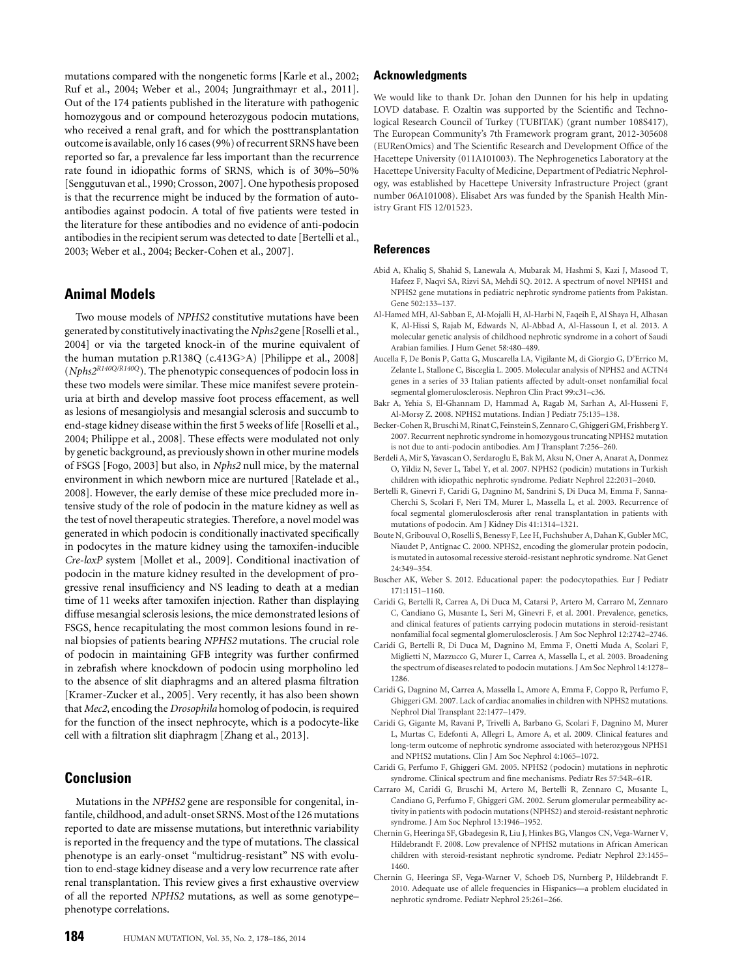mutations compared with the nongenetic forms [Karle et al., 2002; Ruf et al., 2004; Weber et al., 2004; Jungraithmayr et al., 2011]. Out of the 174 patients published in the literature with pathogenic homozygous and or compound heterozygous podocin mutations, who received a renal graft, and for which the posttransplantation outcome is available, only 16 cases (9%) of recurrent SRNS have been reported so far, a prevalence far less important than the recurrence rate found in idiopathic forms of SRNS, which is of 30%–50% [Senggutuvan et al., 1990; Crosson, 2007]. One hypothesis proposed is that the recurrence might be induced by the formation of autoantibodies against podocin. A total of five patients were tested in the literature for these antibodies and no evidence of anti-podocin antibodies in the recipient serum was detected to date [Bertelli et al., 2003; Weber et al., 2004; Becker-Cohen et al., 2007].

## **Animal Models**

Two mouse models of *NPHS2* constitutive mutations have been generated by constitutivelyinactivating the*Nphs2* gene [Roselli et al., 2004] or via the targeted knock-in of the murine equivalent of the human mutation p.R138Q (c.413G>A) [Philippe et al., 2008] (*Nphs2R140Q/R140Q*). The phenotypic consequences of podocin loss in these two models were similar. These mice manifest severe proteinuria at birth and develop massive foot process effacement, as well as lesions of mesangiolysis and mesangial sclerosis and succumb to end-stage kidney disease within the first 5 weeks of life [Roselli et al., 2004; Philippe et al., 2008]. These effects were modulated not only by genetic background, as previously shown in other murine models of FSGS [Fogo, 2003] but also, in *Nphs2* null mice, by the maternal environment in which newborn mice are nurtured [Ratelade et al., 2008]. However, the early demise of these mice precluded more intensive study of the role of podocin in the mature kidney as well as the test of novel therapeutic strategies. Therefore, a novel model was generated in which podocin is conditionally inactivated specifically in podocytes in the mature kidney using the tamoxifen-inducible *Cre-loxP* system [Mollet et al., 2009]. Conditional inactivation of podocin in the mature kidney resulted in the development of progressive renal insufficiency and NS leading to death at a median time of 11 weeks after tamoxifen injection. Rather than displaying diffuse mesangial sclerosis lesions, the mice demonstrated lesions of FSGS, hence recapitulating the most common lesions found in renal biopsies of patients bearing *NPHS2* mutations. The crucial role of podocin in maintaining GFB integrity was further confirmed in zebrafish where knockdown of podocin using morpholino led to the absence of slit diaphragms and an altered plasma filtration [Kramer-Zucker et al., 2005]. Very recently, it has also been shown that *Mec2*, encoding the *Drosophila* homolog of podocin, is required for the function of the insect nephrocyte, which is a podocyte-like cell with a filtration slit diaphragm [Zhang et al., 2013].

## **Conclusion**

Mutations in the *NPHS2* gene are responsible for congenital, infantile, childhood, and adult-onset SRNS.Most of the 126 mutations reported to date are missense mutations, but interethnic variability is reported in the frequency and the type of mutations. The classical phenotype is an early-onset "multidrug-resistant" NS with evolution to end-stage kidney disease and a very low recurrence rate after renal transplantation. This review gives a first exhaustive overview of all the reported *NPHS2* mutations, as well as some genotype– phenotype correlations.

## **Acknowledgments**

We would like to thank Dr. Johan den Dunnen for his help in updating LOVD database. F. Ozaltin was supported by the Scientific and Technological Research Council of Turkey (TUBITAK) (grant number 108S417), The European Community's 7th Framework program grant, 2012-305608 (EURenOmics) and The Scientific Research and Development Office of the Hacettepe University (011A101003). The Nephrogenetics Laboratory at the Hacettepe University Faculty of Medicine, Department of Pediatric Nephrology, was established by Hacettepe University Infrastructure Project (grant number 06A101008). Elisabet Ars was funded by the Spanish Health Ministry Grant FIS 12/01523.

## **References**

- Abid A, Khaliq S, Shahid S, Lanewala A, Mubarak M, Hashmi S, Kazi J, Masood T, Hafeez F, Naqvi SA, Rizvi SA, Mehdi SQ. 2012. A spectrum of novel NPHS1 and NPHS2 gene mutations in pediatric nephrotic syndrome patients from Pakistan. Gene 502:133–137.
- Al-Hamed MH, Al-Sabban E, Al-Mojalli H, Al-Harbi N, Faqeih E, Al Shaya H, Alhasan K, Al-Hissi S, Rajab M, Edwards N, Al-Abbad A, Al-Hassoun I, et al. 2013. A molecular genetic analysis of childhood nephrotic syndrome in a cohort of Saudi Arabian families. J Hum Genet 58:480–489.
- Aucella F, De Bonis P, Gatta G, Muscarella LA, Vigilante M, di Giorgio G, D'Errico M, Zelante L, Stallone C, Bisceglia L. 2005. Molecular analysis of NPHS2 and ACTN4 genes in a series of 33 Italian patients affected by adult-onset nonfamilial focal segmental glomerulosclerosis. Nephron Clin Pract 99:c31–c36.
- Bakr A, Yehia S, El-Ghannam D, Hammad A, Ragab M, Sarhan A, Al-Husseni F, Al-Morsy Z. 2008. NPHS2 mutations. Indian J Pediatr 75:135–138.
- Becker-Cohen R, BruschiM, Rinat C, Feinstein S, Zennaro C, Ghiggeri GM, Frishberg Y. 2007. Recurrent nephrotic syndrome in homozygous truncating NPHS2 mutation is not due to anti-podocin antibodies. Am J Transplant 7:256–260.
- Berdeli A, Mir S, Yavascan O, Serdaroglu E, Bak M, Aksu N, Oner A, Anarat A, Donmez O, Yildiz N, Sever L, Tabel Y, et al. 2007. NPHS2 (podicin) mutations in Turkish children with idiopathic nephrotic syndrome. Pediatr Nephrol 22:2031–2040.
- Bertelli R, Ginevri F, Caridi G, Dagnino M, Sandrini S, Di Duca M, Emma F, Sanna-Cherchi S, Scolari F, Neri TM, Murer L, Massella L, et al. 2003. Recurrence of focal segmental glomerulosclerosis after renal transplantation in patients with mutations of podocin. Am J Kidney Dis 41:1314–1321.
- Boute N, Gribouval O, Roselli S, Benessy F, Lee H, Fuchshuber A, Dahan K, Gubler MC, Niaudet P, Antignac C. 2000. NPHS2, encoding the glomerular protein podocin, is mutated in autosomal recessive steroid-resistant nephrotic syndrome. Nat Genet 24:349–354.
- Buscher AK, Weber S. 2012. Educational paper: the podocytopathies. Eur J Pediatr 171:1151–1160.
- Caridi G, Bertelli R, Carrea A, Di Duca M, Catarsi P, Artero M, Carraro M, Zennaro C, Candiano G, Musante L, Seri M, Ginevri F, et al. 2001. Prevalence, genetics, and clinical features of patients carrying podocin mutations in steroid-resistant nonfamilial focal segmental glomerulosclerosis. J Am Soc Nephrol 12:2742–2746.
- Caridi G, Bertelli R, Di Duca M, Dagnino M, Emma F, Onetti Muda A, Scolari F, Miglietti N, Mazzucco G, Murer L, Carrea A, Massella L, et al. 2003. Broadening the spectrum of diseases related to podocin mutations. J Am Soc Nephrol 14:1278– 1286.
- Caridi G, Dagnino M, Carrea A, Massella L, Amore A, Emma F, Coppo R, Perfumo F, Ghiggeri GM. 2007. Lack of cardiac anomalies in children with NPHS2 mutations. Nephrol Dial Transplant 22:1477–1479.
- Caridi G, Gigante M, Ravani P, Trivelli A, Barbano G, Scolari F, Dagnino M, Murer L, Murtas C, Edefonti A, Allegri L, Amore A, et al. 2009. Clinical features and long-term outcome of nephrotic syndrome associated with heterozygous NPHS1 and NPHS2 mutations. Clin J Am Soc Nephrol 4:1065–1072.
- Caridi G, Perfumo F, Ghiggeri GM. 2005. NPHS2 (podocin) mutations in nephrotic syndrome. Clinical spectrum and fine mechanisms. Pediatr Res 57:54R–61R.
- Carraro M, Caridi G, Bruschi M, Artero M, Bertelli R, Zennaro C, Musante L, Candiano G, Perfumo F, Ghiggeri GM. 2002. Serum glomerular permeability activity in patients with podocin mutations (NPHS2) and steroid-resistant nephrotic syndrome. J Am Soc Nephrol 13:1946–1952.
- Chernin G, Heeringa SF, Gbadegesin R, Liu J, Hinkes BG, Vlangos CN, Vega-Warner V, Hildebrandt F. 2008. Low prevalence of NPHS2 mutations in African American children with steroid-resistant nephrotic syndrome. Pediatr Nephrol 23:1455– 1460.
- Chernin G, Heeringa SF, Vega-Warner V, Schoeb DS, Nurnberg P, Hildebrandt F. 2010. Adequate use of allele frequencies in Hispanics—a problem elucidated in nephrotic syndrome. Pediatr Nephrol 25:261–266.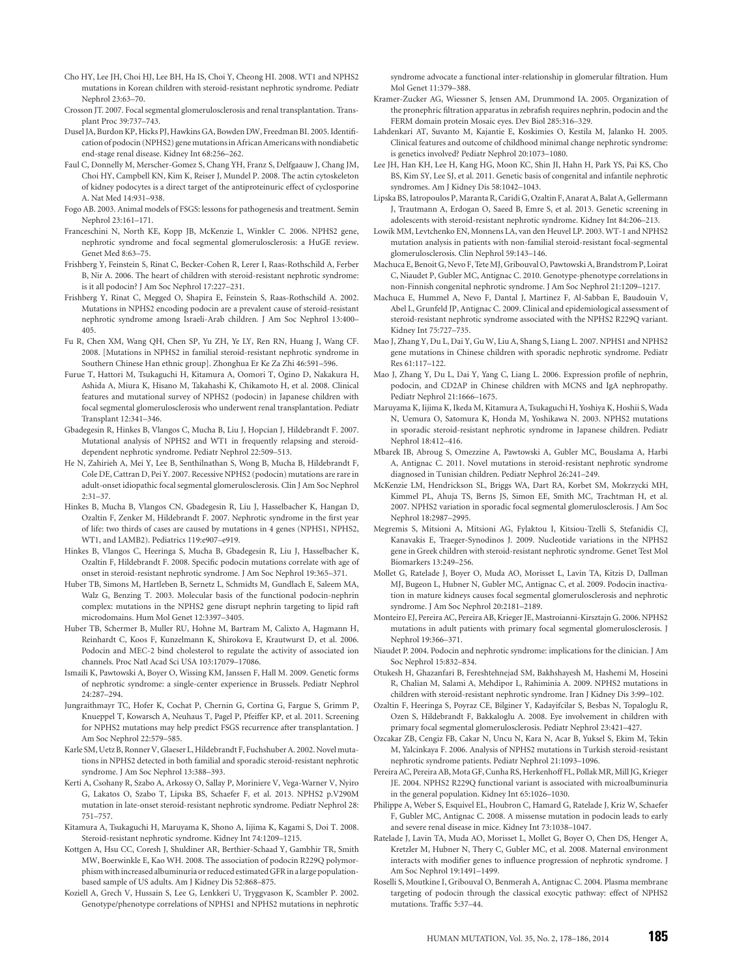- Cho HY, Lee JH, Choi HJ, Lee BH, Ha IS, Choi Y, Cheong HI. 2008. WT1 and NPHS2 mutations in Korean children with steroid-resistant nephrotic syndrome. Pediatr Nephrol 23:63–70.
- Crosson JT. 2007. Focal segmental glomerulosclerosis and renal transplantation. Transplant Proc 39:737–743.
- Dusel JA, Burdon KP, Hicks PJ, Hawkins GA, Bowden DW, Freedman BI. 2005. Identification of podocin (NPHS2) genemutations in African Americanswith nondiabetic end-stage renal disease. Kidney Int 68:256–262.
- Faul C, Donnelly M, Merscher-Gomez S, Chang YH, Franz S, Delfgaauw J, Chang JM, Choi HY, Campbell KN, Kim K, Reiser J, Mundel P. 2008. The actin cytoskeleton of kidney podocytes is a direct target of the antiproteinuric effect of cyclosporine A. Nat Med 14:931–938.
- Fogo AB. 2003. Animal models of FSGS: lessons for pathogenesis and treatment. Semin Nephrol 23:161–171.
- Franceschini N, North KE, Kopp JB, McKenzie L, Winkler C. 2006. NPHS2 gene, nephrotic syndrome and focal segmental glomerulosclerosis: a HuGE review. Genet Med 8:63–75.
- Frishberg Y, Feinstein S, Rinat C, Becker-Cohen R, Lerer I, Raas-Rothschild A, Ferber B, Nir A. 2006. The heart of children with steroid-resistant nephrotic syndrome: is it all podocin? J Am Soc Nephrol 17:227–231.
- Frishberg Y, Rinat C, Megged O, Shapira E, Feinstein S, Raas-Rothschild A. 2002. Mutations in NPHS2 encoding podocin are a prevalent cause of steroid-resistant nephrotic syndrome among Israeli-Arab children. J Am Soc Nephrol 13:400– 405.
- Fu R, Chen XM, Wang QH, Chen SP, Yu ZH, Ye LY, Ren RN, Huang J, Wang CF. 2008. [Mutations in NPHS2 in familial steroid-resistant nephrotic syndrome in Southern Chinese Han ethnic group]. Zhonghua Er Ke Za Zhi 46:591–596.
- Furue T, Hattori M, Tsukaguchi H, Kitamura A, Oomori T, Ogino D, Nakakura H, Ashida A, Miura K, Hisano M, Takahashi K, Chikamoto H, et al. 2008. Clinical features and mutational survey of NPHS2 (podocin) in Japanese children with focal segmental glomerulosclerosis who underwent renal transplantation. Pediatr Transplant 12:341–346.
- Gbadegesin R, Hinkes B, Vlangos C, Mucha B, Liu J, Hopcian J, Hildebrandt F. 2007. Mutational analysis of NPHS2 and WT1 in frequently relapsing and steroiddependent nephrotic syndrome. Pediatr Nephrol 22:509–513.
- He N, Zahirieh A, Mei Y, Lee B, Senthilnathan S, Wong B, Mucha B, Hildebrandt F, Cole DE, Cattran D, Pei Y. 2007. Recessive NPHS2 (podocin) mutations are rare in adult-onset idiopathic focal segmental glomerulosclerosis. Clin J Am Soc Nephrol 2:31–37.
- Hinkes B, Mucha B, Vlangos CN, Gbadegesin R, Liu J, Hasselbacher K, Hangan D, Ozaltin F, Zenker M, Hildebrandt F. 2007. Nephrotic syndrome in the first year of life: two thirds of cases are caused by mutations in 4 genes (NPHS1, NPHS2, WT1, and LAMB2). Pediatrics 119:e907–e919.
- Hinkes B, Vlangos C, Heeringa S, Mucha B, Gbadegesin R, Liu J, Hasselbacher K, Ozaltin F, Hildebrandt F. 2008. Specific podocin mutations correlate with age of onset in steroid-resistant nephrotic syndrome. J Am Soc Nephrol 19:365–371.
- Huber TB, Simons M, Hartleben B, Sernetz L, Schmidts M, Gundlach E, Saleem MA, Walz G, Benzing T. 2003. Molecular basis of the functional podocin-nephrin complex: mutations in the NPHS2 gene disrupt nephrin targeting to lipid raft microdomains. Hum Mol Genet 12:3397–3405.
- Huber TB, Schermer B, Muller RU, Hohne M, Bartram M, Calixto A, Hagmann H, Reinhardt C, Koos F, Kunzelmann K, Shirokova E, Krautwurst D, et al. 2006. Podocin and MEC-2 bind cholesterol to regulate the activity of associated ion channels. Proc Natl Acad Sci USA 103:17079–17086.
- Ismaili K, Pawtowski A, Boyer O, Wissing KM, Janssen F, Hall M. 2009. Genetic forms of nephrotic syndrome: a single-center experience in Brussels. Pediatr Nephrol 24:287–294.
- Jungraithmayr TC, Hofer K, Cochat P, Chernin G, Cortina G, Fargue S, Grimm P, Knueppel T, Kowarsch A, Neuhaus T, Pagel P, Pfeiffer KP, et al. 2011. Screening for NPHS2 mutations may help predict FSGS recurrence after transplantation. J Am Soc Nephrol 22:579–585.
- Karle SM, Uetz B, Ronner V, Glaeser L, Hildebrandt F, Fuchshuber A. 2002. Novel mutations in NPHS2 detected in both familial and sporadic steroid-resistant nephrotic syndrome. J Am Soc Nephrol 13:388–393.
- Kerti A, Csohany R, Szabo A, Arkossy O, Sallay P, Moriniere V, Vega-Warner V, Nyiro G, Lakatos O, Szabo T, Lipska BS, Schaefer F, et al. 2013. NPHS2 p.V290M mutation in late-onset steroid-resistant nephrotic syndrome. Pediatr Nephrol 28: 751–757.
- Kitamura A, Tsukaguchi H, Maruyama K, Shono A, Iijima K, Kagami S, Doi T. 2008. Steroid-resistant nephrotic syndrome. Kidney Int 74:1209–1215.
- Kottgen A, Hsu CC, Coresh J, Shuldiner AR, Berthier-Schaad Y, Gambhir TR, Smith MW, Boerwinkle E, Kao WH. 2008. The association of podocin R229Q polymorphismwith increased albuminuria or reduced estimated GFR in a large populationbased sample of US adults. Am J Kidney Dis 52:868–875.
- Koziell A, Grech V, Hussain S, Lee G, Lenkkeri U, Tryggvason K, Scambler P. 2002. Genotype/phenotype correlations of NPHS1 and NPHS2 mutations in nephrotic

syndrome advocate a functional inter-relationship in glomerular filtration. Hum Mol Genet 11:379–388.

- Kramer-Zucker AG, Wiessner S, Jensen AM, Drummond IA. 2005. Organization of the pronephric filtration apparatus in zebrafish requires nephrin, podocin and the FERM domain protein Mosaic eyes. Dev Biol 285:316–329.
- Lahdenkari AT, Suvanto M, Kajantie E, Koskimies O, Kestila M, Jalanko H. 2005. Clinical features and outcome of childhood minimal change nephrotic syndrome: is genetics involved? Pediatr Nephrol 20:1073–1080.
- Lee JH, Han KH, Lee H, Kang HG, Moon KC, Shin JI, Hahn H, Park YS, Pai KS, Cho BS, Kim SY, Lee SJ, et al. 2011. Genetic basis of congenital and infantile nephrotic syndromes. Am J Kidney Dis 58:1042–1043.
- Lipska BS, Iatropoulos P, Maranta R, Caridi G, Ozaltin F, Anarat A, Balat A, Gellermann J, Trautmann A, Erdogan O, Saeed B, Emre S, et al. 2013. Genetic screening in adolescents with steroid-resistant nephrotic syndrome. Kidney Int 84:206–213.
- Lowik MM, Levtchenko EN, Monnens LA, van den Heuvel LP. 2003. WT-1 and NPHS2 mutation analysis in patients with non-familial steroid-resistant focal-segmental glomerulosclerosis. Clin Nephrol 59:143–146.
- Machuca E, Benoit G, Nevo F, Tete MJ, Gribouval O, Pawtowski A, Brandstrom P, Loirat C, Niaudet P, Gubler MC, Antignac C. 2010. Genotype-phenotype correlations in non-Finnish congenital nephrotic syndrome. J Am Soc Nephrol 21:1209–1217.
- Machuca E, Hummel A, Nevo F, Dantal J, Martinez F, Al-Sabban E, Baudouin V, Abel L, Grunfeld JP, Antignac C. 2009. Clinical and epidemiological assessment of steroid-resistant nephrotic syndrome associated with the NPHS2 R229Q variant. Kidney Int 75:727–735.
- Mao J, Zhang Y, Du L, Dai Y, Gu W, Liu A, Shang S, Liang L. 2007. NPHS1 and NPHS2 gene mutations in Chinese children with sporadic nephrotic syndrome. Pediatr Res 61:117–122.
- Mao J, Zhang Y, Du L, Dai Y, Yang C, Liang L. 2006. Expression profile of nephrin, podocin, and CD2AP in Chinese children with MCNS and IgA nephropathy. Pediatr Nephrol 21:1666–1675.
- Maruyama K, Iijima K, Ikeda M, Kitamura A, Tsukaguchi H, Yoshiya K, Hoshii S, Wada N, Uemura O, Satomura K, Honda M, Yoshikawa N. 2003. NPHS2 mutations in sporadic steroid-resistant nephrotic syndrome in Japanese children. Pediatr Nephrol 18:412–416.
- Mbarek IB, Abroug S, Omezzine A, Pawtowski A, Gubler MC, Bouslama A, Harbi A, Antignac C. 2011. Novel mutations in steroid-resistant nephrotic syndrome diagnosed in Tunisian children. Pediatr Nephrol 26:241–249.
- McKenzie LM, Hendrickson SL, Briggs WA, Dart RA, Korbet SM, Mokrzycki MH, Kimmel PL, Ahuja TS, Berns JS, Simon EE, Smith MC, Trachtman H, et al. 2007. NPHS2 variation in sporadic focal segmental glomerulosclerosis. J Am Soc Nephrol 18:2987–2995.
- Megremis S, Mitsioni A, Mitsioni AG, Fylaktou I, Kitsiou-Tzelli S, Stefanidis CJ, Kanavakis E, Traeger-Synodinos J. 2009. Nucleotide variations in the NPHS2 gene in Greek children with steroid-resistant nephrotic syndrome. Genet Test Mol Biomarkers 13:249–256.
- Mollet G, Ratelade J, Boyer O, Muda AO, Morisset L, Lavin TA, Kitzis D, Dallman MJ, Bugeon L, Hubner N, Gubler MC, Antignac C, et al. 2009. Podocin inactivation in mature kidneys causes focal segmental glomerulosclerosis and nephrotic syndrome. J Am Soc Nephrol 20:2181–2189.
- Monteiro EJ, Pereira AC, Pereira AB, Krieger JE, Mastroianni-Kirsztajn G. 2006. NPHS2 mutations in adult patients with primary focal segmental glomerulosclerosis. J Nephrol 19:366–371.
- Niaudet P. 2004. Podocin and nephrotic syndrome: implications for the clinician. J Am Soc Nephrol 15:832–834.
- Otukesh H, Ghazanfari B, Fereshtehnejad SM, Bakhshayesh M, Hashemi M, Hoseini R, Chalian M, Salami A, Mehdipor L, Rahiminia A. 2009. NPHS2 mutations in children with steroid-resistant nephrotic syndrome. Iran J Kidney Dis 3:99–102.
- Ozaltin F, Heeringa S, Poyraz CE, Bilginer Y, Kadayifcilar S, Besbas N, Topaloglu R, Ozen S, Hildebrandt F, Bakkaloglu A. 2008. Eye involvement in children with primary focal segmental glomerulosclerosis. Pediatr Nephrol 23:421–427.
- Ozcakar ZB, Cengiz FB, Cakar N, Uncu N, Kara N, Acar B, Yuksel S, Ekim M, Tekin M, Yalcinkaya F. 2006. Analysis of NPHS2 mutations in Turkish steroid-resistant nephrotic syndrome patients. Pediatr Nephrol 21:1093–1096.
- Pereira AC, Pereira AB, Mota GF, Cunha RS, Herkenhoff FL, Pollak MR, Mill JG, Krieger JE. 2004. NPHS2 R229Q functional variant is associated with microalbuminuria in the general population. Kidney Int 65:1026–1030.
- Philippe A, Weber S, Esquivel EL, Houbron C, Hamard G, Ratelade J, Kriz W, Schaefer F, Gubler MC, Antignac C. 2008. A missense mutation in podocin leads to early and severe renal disease in mice. Kidney Int 73:1038–1047.
- Ratelade J, Lavin TA, Muda AO, Morisset L, Mollet G, Boyer O, Chen DS, Henger A, Kretzler M, Hubner N, Thery C, Gubler MC, et al. 2008. Maternal environment interacts with modifier genes to influence progression of nephrotic syndrome. J Am Soc Nephrol 19:1491–1499.
- Roselli S, Moutkine I, Gribouval O, Benmerah A, Antignac C. 2004. Plasma membrane targeting of podocin through the classical exocytic pathway: effect of NPHS2 mutations. Traffic 5:37–44.